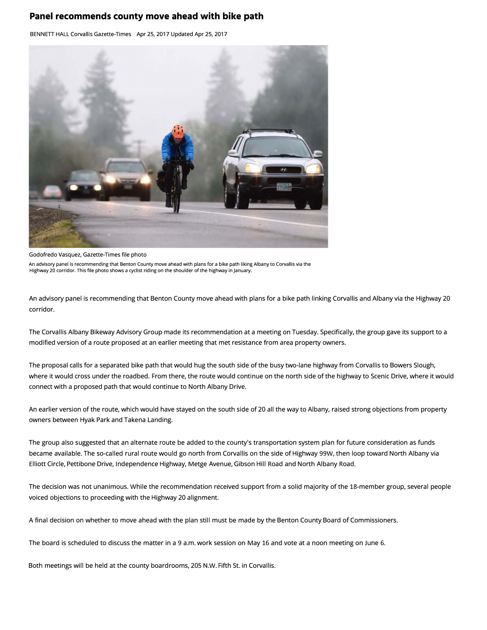## **Panel recommends county move ahead with bike path**

BENNETT HALL Corvallis Gazette-Times Apr 25, 2017 Updated Apr 25, 2017



## Godofredo Vasquez, Gazette-Times file photo

An advisory panel is recommending that Benton County move ahead with plans for a bike path liking Albany to Corvallis via the Highway 20 corridor. This file photo shows a cyclist riding on the shoulder of the highway in January.

An advisory panel is recommending that Benton County move ahead with plans for a bike path linking Corvallis and Albany via the Highway 20 corridor.

The Corvallis Albany Bikeway Advisory Group made its recommendation at a meeting on Tuesday. Specifically, the group gave its support to a modified version of a route proposed at an earlier meeting that met resistance from area property owners.

The proposal calls for a separated bike path that would hug the south side of the busy two-lane highway from Corvallis to Bowers Slough, where it would cross under the roadbed. From there, the route would continue on the north side of the highway to Scenic Drive, where it would connect with a proposed path that would continue to North Albany Drive.

An earlier version of the route, which would have stayed on the south side of 20 all the way to Albany, raised strong objections from property owners between Hyak Park and Takena Landing.

The group also suggested that an alternate route be added to the county's transportation system plan for future consideration as funds became available. The so-called rural route would go north from Corvallis on the side of Highway 99W, then loop toward North Albany via Elliott Circle, Pettibone Drive, Independence Highway, Metge Avenue, Gibson Hill Road and North Albany Road.

The decision was not unanimous. While the recommendation received support from a solid majority of the 18-member group, several people voiced objections to proceeding with the Highway 20 alignment.

A final decision on whether to move ahead with the plan still must be made by the Benton County Board of Commissioners.

The board is scheduled to discuss the matter in a 9 a.m. work session on May 16 and vote at a noon meeting on June 6.

Both meetings will be held at the county boardrooms, 205 N.W. Fifth St. in Corvallis.